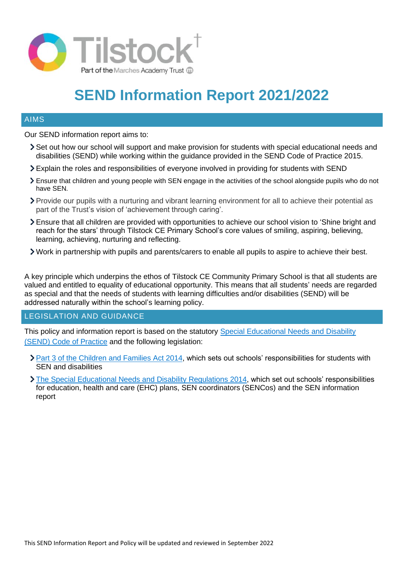

# **SEND Information Report 2021/2022**

#### AIMS

Our SEND information report aims to:

- Set out how our school will support and make provision for students with special educational needs and disabilities (SEND) while working within the guidance provided in the SEND Code of Practice 2015.
- Explain the roles and responsibilities of everyone involved in providing for students with SEND
- Ensure that children and young people with SEN engage in the activities of the school alongside pupils who do not have SEN*.*
- Provide our pupils with a nurturing and vibrant learning environment for all to achieve their potential as part of the Trust's vision of 'achievement through caring'.
- Ensure that all children are provided with opportunities to achieve our school vision to 'Shine bright and reach for the stars' through Tilstock CE Primary School's core values of smiling, aspiring, believing, learning, achieving, nurturing and reflecting.
- Work in partnership with pupils and parents/carers to enable all pupils to aspire to achieve their best.

A key principle which underpins the ethos of Tilstock CE Community Primary School is that all students are valued and entitled to equality of educational opportunity. This means that all students' needs are regarded as special and that the needs of students with learning difficulties and/or disabilities (SEND) will be addressed naturally within the school's learning policy.

#### LEGISLATION AND GUIDANCE

This policy and information report is based on the statutory [Special Educational Needs and Disability](https://www.gov.uk/government/uploads/system/uploads/attachment_data/file/398815/SEND_Code_of_Practice_January_2015.pdf)  [\(SEND\) Code of Practice](https://www.gov.uk/government/uploads/system/uploads/attachment_data/file/398815/SEND_Code_of_Practice_January_2015.pdf) and the following legislation:

- Part 3 of the Children [and Families Act 2014,](http://www.legislation.gov.uk/ukpga/2014/6/part/3) which sets out schools' responsibilities for students with SEN and disabilities
- [The Special Educational Needs and Disability Regulations 2014,](http://www.legislation.gov.uk/uksi/2014/1530/contents/made) which set out schools' responsibilities for education, health and care (EHC) plans, SEN coordinators (SENCos) and the SEN information report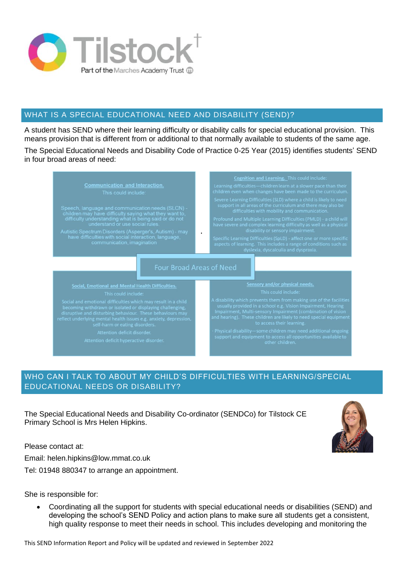

# WHAT IS A SPECIAL EDUCATIONAL NEED AND DISABILITY (SEND)?

A student has SEND where their learning difficulty or disability calls for special educational provision. This means provision that is different from or additional to that normally available to students of the same age.

The Special Educational Needs and Disability Code of Practice 0-25 Year (2015) identifies students' SEND in four broad areas of need:



# WHO CAN I TALK TO ABOUT MY CHILD'S DIFFICULTIES WITH LEARNING/SPECIAL EDUCATIONAL NEEDS OR DISABILITY?

The Special Educational Needs and Disability Co-ordinator (SENDCo) for Tilstock CE Primary School is Mrs Helen Hipkins.

Please contact at:

Email: helen.hipkins@low.mmat.co.uk

Tel: 01948 880347 to arrange an appointment.

She is responsible for:

• Coordinating all the support for students with special educational needs or disabilities (SEND) and developing the school's SEND Policy and action plans to make sure all students get a consistent, high quality response to meet their needs in school. This includes developing and monitoring the

This SEND Information Report and Policy will be updated and reviewed in September 2022

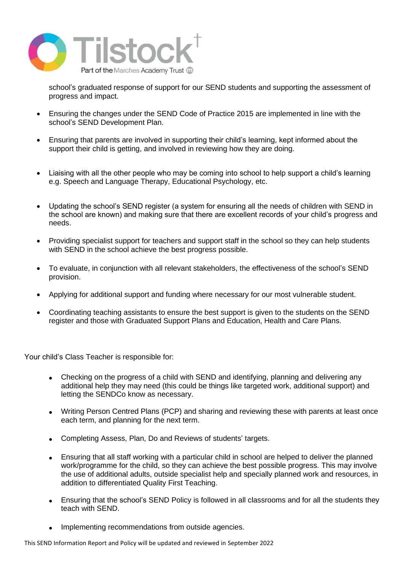

school's graduated response of support for our SEND students and supporting the assessment of progress and impact.

- Ensuring the changes under the SEND Code of Practice 2015 are implemented in line with the school's SEND Development Plan.
- Ensuring that parents are involved in supporting their child's learning, kept informed about the support their child is getting, and involved in reviewing how they are doing.
- Liaising with all the other people who may be coming into school to help support a child's learning e.g. Speech and Language Therapy, Educational Psychology, etc.
- Updating the school's SEND register (a system for ensuring all the needs of children with SEND in the school are known) and making sure that there are excellent records of your child's progress and needs.
- Providing specialist support for teachers and support staff in the school so they can help students with SEND in the school achieve the best progress possible.
- To evaluate, in conjunction with all relevant stakeholders, the effectiveness of the school's SEND provision.
- Applying for additional support and funding where necessary for our most vulnerable student.
- Coordinating teaching assistants to ensure the best support is given to the students on the SEND register and those with Graduated Support Plans and Education, Health and Care Plans.

Your child's Class Teacher is responsible for:

- Checking on the progress of a child with SEND and identifying, planning and delivering any additional help they may need (this could be things like targeted work, additional support) and letting the SENDCo know as necessary.
- Writing Person Centred Plans (PCP) and sharing and reviewing these with parents at least once each term, and planning for the next term.
- Completing Assess, Plan, Do and Reviews of students' targets.
- Ensuring that all staff working with a particular child in school are helped to deliver the planned work/programme for the child, so they can achieve the best possible progress. This may involve the use of additional adults, outside specialist help and specially planned work and resources, in addition to differentiated Quality First Teaching.
- Ensuring that the school's SEND Policy is followed in all classrooms and for all the students they teach with SEND.
- Implementing recommendations from outside agencies.

This SEND Information Report and Policy will be updated and reviewed in September 2022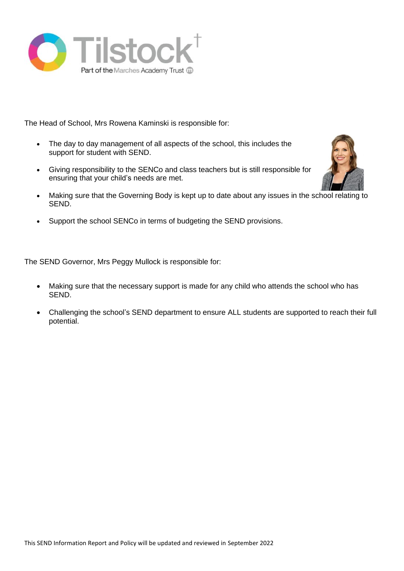

The Head of School, Mrs Rowena Kaminski is responsible for:

- The day to day management of all aspects of the school, this includes the support for student with SEND.
- Giving responsibility to the SENCo and class teachers but is still responsible for ensuring that your child's needs are met.



• Support the school SENCo in terms of budgeting the SEND provisions.

The SEND Governor, Mrs Peggy Mullock is responsible for:

- Making sure that the necessary support is made for any child who attends the school who has SEND.
- Challenging the school's SEND department to ensure ALL students are supported to reach their full potential.

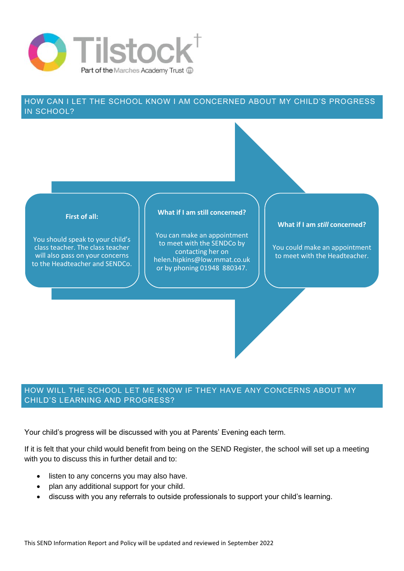

## HOW CAN I LET THE SCHOOL KNOW I AM CONCERNED ABOUT MY CHILD'S PROGRESS IN SCHOOL?



## HOW WILL THE SCHOOL LET ME KNOW IF THEY HAVE ANY CONCERNS ABOUT MY CHILD'S LEARNING AND PROGRESS?

Your child's progress will be discussed with you at Parents' Evening each term.

If it is felt that your child would benefit from being on the SEND Register, the school will set up a meeting with you to discuss this in further detail and to:

- listen to any concerns you may also have.
- plan any additional support for your child.
- discuss with you any referrals to outside professionals to support your child's learning.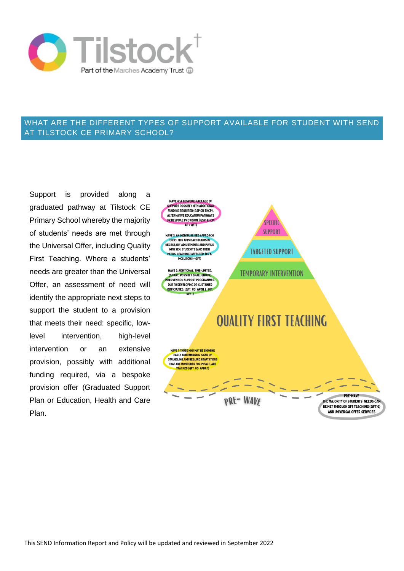

### WHAT ARE THE DIFFERENT TYPES OF SUPPORT AVAILABLE FOR STUDENT WITH SEND AT TILSTOCK CE PRIMARY SCHOOL?

Support is provided along a graduated pathway at Tilstock CE Primary School whereby the majority of students' needs are met through the Universal Offer, including Quality First Teaching. Where a students' needs are greater than the Universal Offer, an assessment of need will identify the appropriate next steps to support the student to a provision that meets their need: specific, lowlevel intervention, high-level intervention or an extensive provision, possibly with additional funding required, via a bespoke provision offer (Graduated Support Plan or Education, Health and Care Plan.

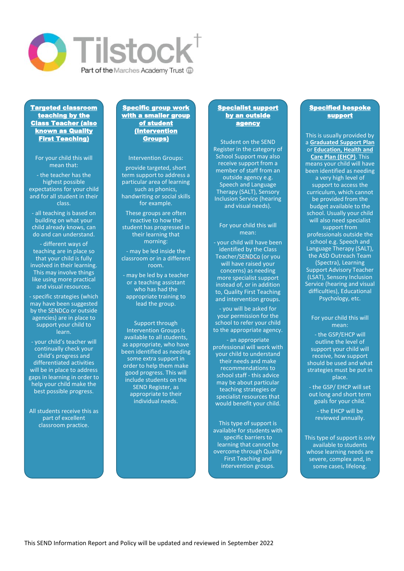

#### Targeted classroom teaching by the Class Teacher (also known as Quality First Teaching)

For your child this will mean that:

- the teacher has the highest possible expectations for your child and for all student in their class.

- all teaching is based on building on what your child already knows, can do and can understand.

- different ways of teaching are in place so that your child is fully involved in their learning. This may involve things like using more practical and visual resources.

- specific strategies (which may have been suggested by the SENDCo or outside agencies) are in place to support your child to learn.

- your child's teacher will continually check your child's progress and differentiated activities will be in place to address gaps in learning in order to help your child make the best possible progress.

All students receive this as part of excellent classroom practice.

#### Specific group work with a smaller group of student (Intervention Groups)

Intervention Groups:

provide targeted, short term support to address a particular area of learning such as phonics, handwriting or social skills for example.

These groups are often reactive to how the student has progressed in their learning that morning:

- may be led inside the classroom or in a different room.

- may be led by a teacher or a teaching assistant who has had the appropriate training to lead the group.

Support through Intervention Groups is available to all students, as appropriate, who have been identified as needing some extra support in order to help them make good progress. This will include students on the SEND Register, as appropriate to their individual needs.

#### **Specialist support** by an outside agency

Student on the SEND Register in the category of School Support may also receive support from a member of staff from an outside agency e.g. Speech and Language Therapy (SALT), Sensory Inclusion Service (hearing and visual needs).

#### For your child this will mean:

- your child will have been identified by the Class Teacher/SENDCo (or you will have raised your concerns) as needing more specialist support instead of, or in addition to, Quality First Teaching and intervention groups.

- you will be asked for your permission for the school to refer your child to the appropriate agency.

- an appropriate professional will work with your child to understand their needs and make recommendations to school staff - this advice may be about particular teaching strategies or specialist resources that would benefit your child.

This type of support is available for students with specific barriers to learning that cannot be overcome through Quality First Teaching and intervention groups.

#### **Specified bespoke** support

This is usually provided by a **Graduated Support Plan**  or **Education, Health and Care Plan (EHCP)**. This means your child will have been identified as needing a very high level of support to access the curriculum, which cannot be provided from the budget available to the school. Usually your child will also need specialist support from professionals outside the school e.g. Speech and Language Therapy (SALT), the ASD Outreach Team (Spectra), Learning Support Advisory Teacher (LSAT), Sensory Inclusion Service (hearing and visual difficulties), Educational Psychology, etc.

#### For your child this will mean:

- the GSP/EHCP will outline the level of support your child will receive, how support should be used and what strategies must be put in place.

- the GSP/ EHCP will set out long and short term goals for your child.

> - the EHCP will be reviewed annually.

This type of support is only available to students whose learning needs are severe, complex and, in some cases, lifelong.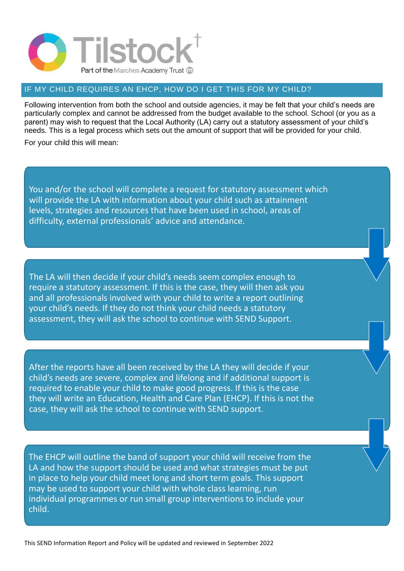

## IF MY CHILD REQUIRES AN EHCP, HOW DO I GET THIS FOR MY CHILD?

Following intervention from both the school and outside agencies, it may be felt that your child's needs are particularly complex and cannot be addressed from the budget available to the school. School (or you as a parent) may wish to request that the Local Authority (LA) carry out a statutory assessment of your child's needs. This is a legal process which sets out the amount of support that will be provided for your child.

For your child this will mean:

You and/or the school will complete a request for statutory assessment which will provide the LA with information about your child such as attainment levels, strategies and resources that have been used in school, areas of difficulty, external professionals' advice and attendance.

The LA will then decide if your child's needs seem complex enough to require a statutory assessment. If this is the case, they will then ask you and all professionals involved with your child to write a report outlining your child's needs. If they do not think your child needs a statutory assessment, they will ask the school to continue with SEND Support.

After the reports have all been received by the LA they will decide if your child's needs are severe, complex and lifelong and if additional support is required to enable your child to make good progress. If this is the case they will write an Education, Health and Care Plan (EHCP). If this is not the case, they will ask the school to continue with SEND support.

The EHCP will outline the band of support your child will receive from the LA and how the support should be used and what strategies must be put in place to help your child meet long and short term goals. This support may be used to support your child with whole class learning, run individual programmes or run small group interventions to include your child.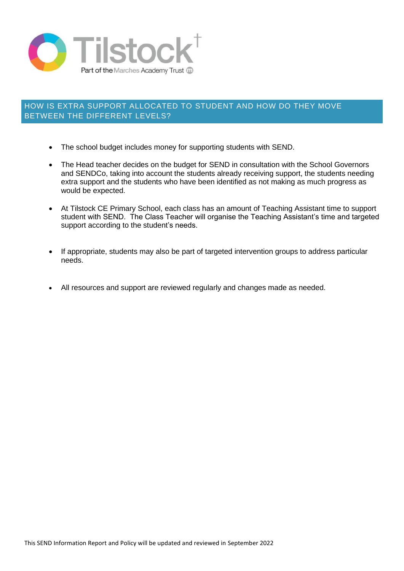

## HOW IS EXTRA SUPPORT ALLOCATED TO STUDENT AND HOW DO THEY MOVE BETWEEN THE DIFFERENT LEVELS?

- The school budget includes money for supporting students with SEND.
- The Head teacher decides on the budget for SEND in consultation with the School Governors and SENDCo, taking into account the students already receiving support, the students needing extra support and the students who have been identified as not making as much progress as would be expected.
- At Tilstock CE Primary School, each class has an amount of Teaching Assistant time to support student with SEND. The Class Teacher will organise the Teaching Assistant's time and targeted support according to the student's needs.
- If appropriate, students may also be part of targeted intervention groups to address particular needs.
- All resources and support are reviewed regularly and changes made as needed.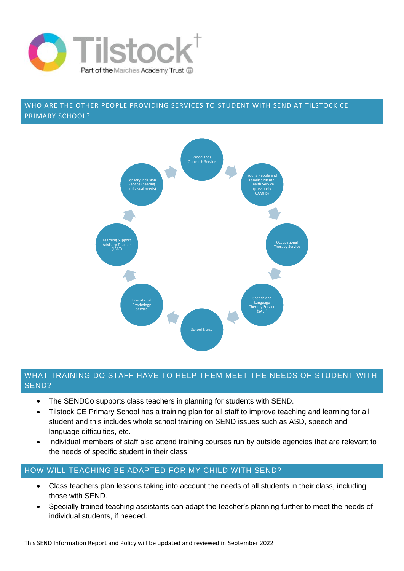

## WHO ARE THE OTHER PEOPLE PROVIDING SERVICES TO STUDENT WITH SEND AT TILSTOCK CE PRIMARY SCHOOL?



#### WHAT TRAINING DO STAFF HAVE TO HELP THEM MEET THE NEEDS OF STUDENT WITH SEND?

- The SENDCo supports class teachers in planning for students with SEND.
- Tilstock CE Primary School has a training plan for all staff to improve teaching and learning for all student and this includes whole school training on SEND issues such as ASD, speech and language difficulties, etc.
- Individual members of staff also attend training courses run by outside agencies that are relevant to the needs of specific student in their class.

# HOW WILL TEACHING BE ADAPTED FOR MY CHILD WITH SEND?

- Class teachers plan lessons taking into account the needs of all students in their class, including those with SEND.
- Specially trained teaching assistants can adapt the teacher's planning further to meet the needs of individual students, if needed.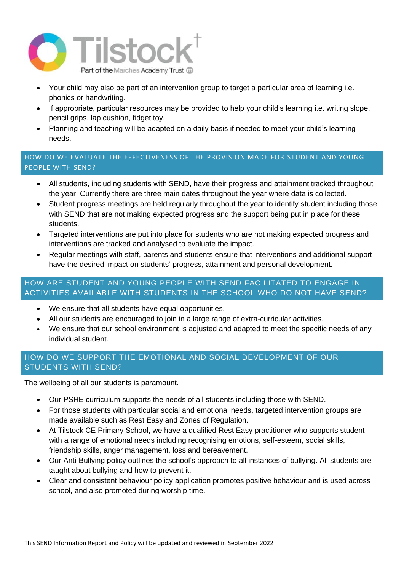

- Your child may also be part of an intervention group to target a particular area of learning i.e. phonics or handwriting.
- If appropriate, particular resources may be provided to help your child's learning i.e. writing slope, pencil grips, lap cushion, fidget toy.
- Planning and teaching will be adapted on a daily basis if needed to meet your child's learning needs.

# HOW DO WE EVALUATE THE EFFECTIVENESS OF THE PROVISION MADE FOR STUDENT AND YOUNG PEOPLE WITH SEND?

- All students, including students with SEND, have their progress and attainment tracked throughout the year. Currently there are three main dates throughout the year where data is collected.
- Student progress meetings are held regularly throughout the year to identify student including those with SEND that are not making expected progress and the support being put in place for these students.
- Targeted interventions are put into place for students who are not making expected progress and interventions are tracked and analysed to evaluate the impact.
- Regular meetings with staff, parents and students ensure that interventions and additional support have the desired impact on students' progress, attainment and personal development.

# HOW ARE STUDENT AND YOUNG PEOPLE WITH SEND FACILITATED TO ENGAGE IN ACTIVITIES AVAILABLE WITH STUDENTS IN THE SCHOOL WHO DO NOT HAVE SEND?

- We ensure that all students have equal opportunities.
- All our students are encouraged to join in a large range of extra-curricular activities.
- We ensure that our school environment is adjusted and adapted to meet the specific needs of any individual student.

# HOW DO WE SUPPORT THE EMOTIONAL AND SOCIAL DEVELOPMENT OF OUR STUDENTS WITH SEND?

The wellbeing of all our students is paramount.

- Our PSHE curriculum supports the needs of all students including those with SEND.
- For those students with particular social and emotional needs, targeted intervention groups are made available such as Rest Easy and Zones of Regulation.
- At Tilstock CE Primary School, we have a qualified Rest Easy practitioner who supports student with a range of emotional needs including recognising emotions, self-esteem, social skills, friendship skills, anger management, loss and bereavement.
- Our Anti-Bullying policy outlines the school's approach to all instances of bullying. All students are taught about bullying and how to prevent it.
- Clear and consistent behaviour policy application promotes positive behaviour and is used across school, and also promoted during worship time.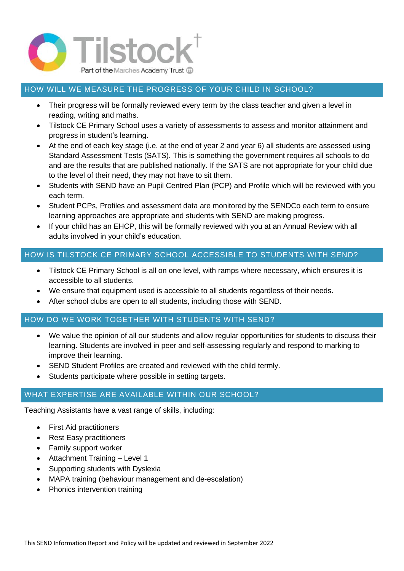

## HOW WILL WE MEASURE THE PROGRESS OF YOUR CHILD IN SCHOOL?

- Their progress will be formally reviewed every term by the class teacher and given a level in reading, writing and maths.
- Tilstock CE Primary School uses a variety of assessments to assess and monitor attainment and progress in student's learning.
- At the end of each key stage (i.e. at the end of year 2 and year 6) all students are assessed using Standard Assessment Tests (SATS). This is something the government requires all schools to do and are the results that are published nationally. If the SATS are not appropriate for your child due to the level of their need, they may not have to sit them.
- Students with SEND have an Pupil Centred Plan (PCP) and Profile which will be reviewed with you each term.
- Student PCPs, Profiles and assessment data are monitored by the SENDCo each term to ensure learning approaches are appropriate and students with SEND are making progress.
- If your child has an EHCP, this will be formally reviewed with you at an Annual Review with all adults involved in your child's education.

## HOW IS TILSTOCK CE PRIMARY SCHOOL ACCESSIBLE TO STUDENTS WITH SEND?

- Tilstock CE Primary School is all on one level, with ramps where necessary, which ensures it is accessible to all students.
- We ensure that equipment used is accessible to all students regardless of their needs.
- After school clubs are open to all students, including those with SEND.

#### HOW DO WE WORK TOGETHER WITH STUDENTS WITH SEND?

- We value the opinion of all our students and allow regular opportunities for students to discuss their learning. Students are involved in peer and self-assessing regularly and respond to marking to improve their learning.
- SEND Student Profiles are created and reviewed with the child termly.
- Students participate where possible in setting targets.

# WHAT EXPERTISE ARE AVAILABLE WITHIN OUR SCHOOL?

Teaching Assistants have a vast range of skills, including:

- First Aid practitioners
- Rest Easy practitioners
- Family support worker
- Attachment Training Level 1
- Supporting students with Dyslexia
- MAPA training (behaviour management and de-escalation)
- Phonics intervention training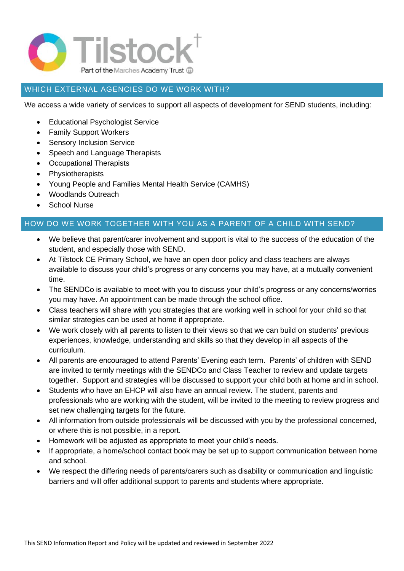

# WHICH EXTERNAL AGENCIES DO WE WORK WITH?

We access a wide variety of services to support all aspects of development for SEND students, including:

- Educational Psychologist Service
- Family Support Workers
- Sensory Inclusion Service
- Speech and Language Therapists
- Occupational Therapists
- Physiotherapists
- Young People and Families Mental Health Service (CAMHS)
- Woodlands Outreach
- School Nurse

#### HOW DO WE WORK TOGETHER WITH YOU AS A PARENT OF A CHILD WITH SEND?

- We believe that parent/carer involvement and support is vital to the success of the education of the student, and especially those with SEND.
- At Tilstock CE Primary School, we have an open door policy and class teachers are always available to discuss your child's progress or any concerns you may have, at a mutually convenient time.
- The SENDCo is available to meet with you to discuss your child's progress or any concerns/worries you may have. An appointment can be made through the school office.
- Class teachers will share with you strategies that are working well in school for your child so that similar strategies can be used at home if appropriate.
- We work closely with all parents to listen to their views so that we can build on students' previous experiences, knowledge, understanding and skills so that they develop in all aspects of the curriculum.
- All parents are encouraged to attend Parents' Evening each term. Parents' of children with SEND are invited to termly meetings with the SENDCo and Class Teacher to review and update targets together. Support and strategies will be discussed to support your child both at home and in school.
- Students who have an EHCP will also have an annual review. The student, parents and professionals who are working with the student, will be invited to the meeting to review progress and set new challenging targets for the future.
- All information from outside professionals will be discussed with you by the professional concerned, or where this is not possible, in a report.
- Homework will be adjusted as appropriate to meet your child's needs.
- If appropriate, a home/school contact book may be set up to support communication between home and school.
- We respect the differing needs of parents/carers such as disability or communication and linguistic barriers and will offer additional support to parents and students where appropriate.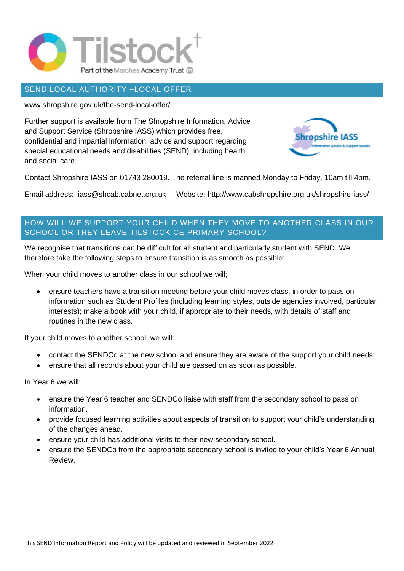

#### SEND LOCAL AUTHORITY –LOCAL OFFER

www.shropshire.gov.uk/the-send-local-offer/

Further support is available from The Shropshire Information, Advice and Support Service (Shropshire IASS) which provides free, confidential and impartial information, advice and support regarding special educational needs and disabilities (SEND), including health and social care.



Contact Shropshire IASS on 01743 280019. The referral line is manned Monday to Friday, 10am till 4pm.

Email address: iass@shcab.cabnet.org.uk Website: http://www.cabshropshire.org.uk/shropshire-iass/

# HOW WILL WE SUPPORT YOUR CHILD WHEN THEY MOVE TO ANOTHER CLASS IN OUR SCHOOL OR THEY LEAVE TILSTOCK CE PRIMARY SCHOOL?

We recognise that transitions can be difficult for all student and particularly student with SEND. We therefore take the following steps to ensure transition is as smooth as possible:

When your child moves to another class in our school we will;

• ensure teachers have a transition meeting before your child moves class, in order to pass on information such as Student Profiles (including learning styles, outside agencies involved, particular interests); make a book with your child, if appropriate to their needs, with details of staff and routines in the new class.

If your child moves to another school, we will:

- contact the SENDCo at the new school and ensure they are aware of the support your child needs.
- ensure that all records about your child are passed on as soon as possible.

In Year 6 we will:

- ensure the Year 6 teacher and SENDCo liaise with staff from the secondary school to pass on information.
- provide focused learning activities about aspects of transition to support your child's understanding of the changes ahead.
- ensure your child has additional visits to their new secondary school.
- ensure the SENDCo from the appropriate secondary school is invited to your child's Year 6 Annual Review.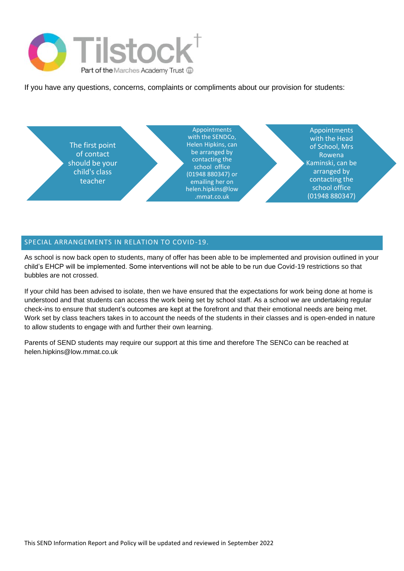

If you have any questions, concerns, complaints or compliments about our provision for students:



#### SPECIAL ARRANGEMENTS IN RELATION TO COVID-19.

As school is now back open to students, many of offer has been able to be implemented and provision outlined in your child's EHCP will be implemented. Some interventions will not be able to be run due Covid-19 restrictions so that bubbles are not crossed.

If your child has been advised to isolate, then we have ensured that the expectations for work being done at home is understood and that students can access the work being set by school staff. As a school we are undertaking regular check-ins to ensure that student's outcomes are kept at the forefront and that their emotional needs are being met. Work set by class teachers takes in to account the needs of the students in their classes and is open-ended in nature to allow students to engage with and further their own learning.

Parents of SEND students may require our support at this time and therefore The SENCo can be reached at helen.hipkins@low.mmat.co.uk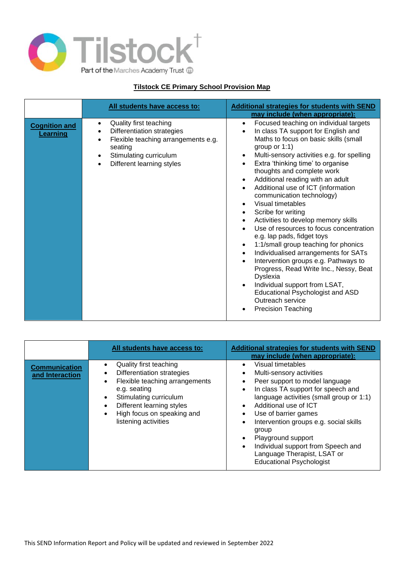

#### **Tilstock CE Primary School Provision Map**

|                                  | All students have access to:                                                                                                                                                                                      | <b>Additional strategies for students with SEND</b><br>may include (when appropriate):                                                                                                                                                                                                                                                                                                                                                                                                                                                                                                                                                                                                                                                                                                                                                                                   |
|----------------------------------|-------------------------------------------------------------------------------------------------------------------------------------------------------------------------------------------------------------------|--------------------------------------------------------------------------------------------------------------------------------------------------------------------------------------------------------------------------------------------------------------------------------------------------------------------------------------------------------------------------------------------------------------------------------------------------------------------------------------------------------------------------------------------------------------------------------------------------------------------------------------------------------------------------------------------------------------------------------------------------------------------------------------------------------------------------------------------------------------------------|
| <b>Cognition and</b><br>Learning | Quality first teaching<br>$\bullet$<br>Differentiation strategies<br>$\bullet$<br>Flexible teaching arrangements e.g.<br>$\bullet$<br>seating<br>Stimulating curriculum<br>$\bullet$<br>Different learning styles | Focused teaching on individual targets<br>$\bullet$<br>In class TA support for English and<br>Maths to focus on basic skills (small<br>group or $1:1$ )<br>Multi-sensory activities e.g. for spelling<br>Extra 'thinking time' to organise<br>thoughts and complete work<br>Additional reading with an adult<br>$\bullet$<br>Additional use of ICT (information<br>communication technology)<br>Visual timetables<br>Scribe for writing<br>Activities to develop memory skills<br>Use of resources to focus concentration<br>e.g. lap pads, fidget toys<br>1:1/small group teaching for phonics<br>$\bullet$<br>Individualised arrangements for SATs<br>Intervention groups e.g. Pathways to<br>Progress, Read Write Inc., Nessy, Beat<br>Dyslexia<br>Individual support from LSAT,<br>Educational Psychologist and ASD<br>Outreach service<br><b>Precision Teaching</b> |

|                                         | All students have access to:                                                                                                                                                                                             | <b>Additional strategies for students with SEND</b><br>may include (when appropriate):                                                                                                                                                                                                                                                                                                                           |
|-----------------------------------------|--------------------------------------------------------------------------------------------------------------------------------------------------------------------------------------------------------------------------|------------------------------------------------------------------------------------------------------------------------------------------------------------------------------------------------------------------------------------------------------------------------------------------------------------------------------------------------------------------------------------------------------------------|
| <b>Communication</b><br>and Interaction | Quality first teaching<br>Differentiation strategies<br>٠<br>Flexible teaching arrangements<br>e.g. seating<br>Stimulating curriculum<br>Different learning styles<br>High focus on speaking and<br>listening activities | Visual timetables<br>Multi-sensory activities<br>Peer support to model language<br>In class TA support for speech and<br>$\bullet$<br>language activities (small group or 1:1)<br>Additional use of ICT<br>Use of barrier games<br>Intervention groups e.g. social skills<br>group<br>Playground support<br>Individual support from Speech and<br>Language Therapist, LSAT or<br><b>Educational Psychologist</b> |